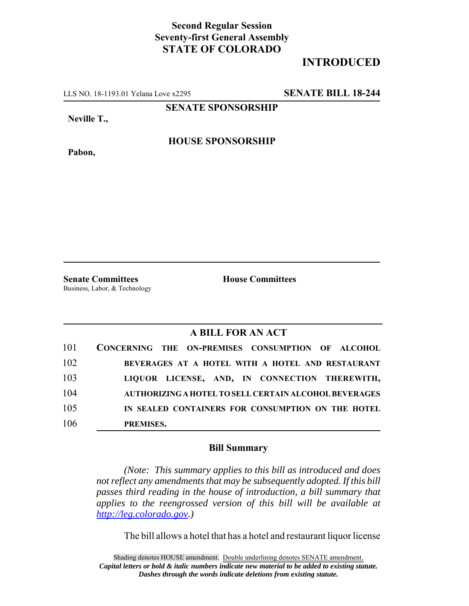## **Second Regular Session Seventy-first General Assembly STATE OF COLORADO**

## **INTRODUCED**

LLS NO. 18-1193.01 Yelana Love x2295 **SENATE BILL 18-244**

**SENATE SPONSORSHIP**

**Neville T.,**

**HOUSE SPONSORSHIP**

**Pabon,**

**Senate Committees House Committees** Business, Labor, & Technology

## **A BILL FOR AN ACT**

| 101 | CONCERNING THE ON-PREMISES CONSUMPTION OF ALCOHOL     |
|-----|-------------------------------------------------------|
| 102 | BEVERAGES AT A HOTEL WITH A HOTEL AND RESTAURANT      |
| 103 | LIQUOR LICENSE, AND, IN CONNECTION THEREWITH,         |
| 104 | AUTHORIZING A HOTEL TO SELL CERTAIN ALCOHOL BEVERAGES |
| 105 | IN SEALED CONTAINERS FOR CONSUMPTION ON THE HOTEL     |
| 106 | PREMISES.                                             |

## **Bill Summary**

*(Note: This summary applies to this bill as introduced and does not reflect any amendments that may be subsequently adopted. If this bill passes third reading in the house of introduction, a bill summary that applies to the reengrossed version of this bill will be available at http://leg.colorado.gov.)*

The bill allows a hotel that has a hotel and restaurant liquor license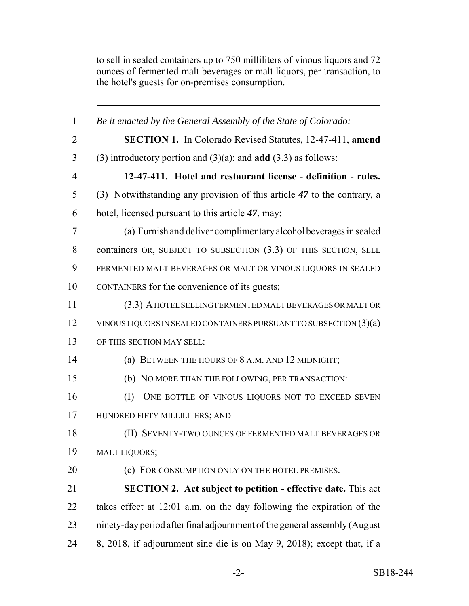to sell in sealed containers up to 750 milliliters of vinous liquors and 72 ounces of fermented malt beverages or malt liquors, per transaction, to the hotel's guests for on-premises consumption.

| $\mathbf{1}$   | Be it enacted by the General Assembly of the State of Colorado:            |
|----------------|----------------------------------------------------------------------------|
| $\overline{2}$ | <b>SECTION 1.</b> In Colorado Revised Statutes, 12-47-411, amend           |
| 3              | (3) introductory portion and $(3)(a)$ ; and <b>add</b> $(3.3)$ as follows: |
| $\overline{4}$ | 12-47-411. Hotel and restaurant license - definition - rules.              |
| 5              | (3) Notwithstanding any provision of this article 47 to the contrary, a    |
| 6              | hotel, licensed pursuant to this article 47, may:                          |
| 7              | (a) Furnish and deliver complimentary alcohol beverages in sealed          |
| 8              | containers OR, SUBJECT TO SUBSECTION (3.3) OF THIS SECTION, SELL           |
| 9              | FERMENTED MALT BEVERAGES OR MALT OR VINOUS LIQUORS IN SEALED               |
| 10             | CONTAINERS for the convenience of its guests;                              |
| 11             | (3.3) A HOTEL SELLING FERMENTED MALT BEVERAGES OR MALT OR                  |
| 12             | VINOUS LIQUORS IN SEALED CONTAINERS PURSUANT TO SUBSECTION $(3)(a)$        |
| 13             | OF THIS SECTION MAY SELL:                                                  |
| 14             | (a) BETWEEN THE HOURS OF 8 A.M. AND 12 MIDNIGHT;                           |
| 15             | (b) NO MORE THAN THE FOLLOWING, PER TRANSACTION:                           |
| 16             | ONE BOTTLE OF VINOUS LIQUORS NOT TO EXCEED SEVEN<br>(I)                    |
| 17             | HUNDRED FIFTY MILLILITERS; AND                                             |
| 18             | (II) SEVENTY-TWO OUNCES OF FERMENTED MALT BEVERAGES OR                     |
| 19             | <b>MALT LIQUORS;</b>                                                       |
| 20             | (c) FOR CONSUMPTION ONLY ON THE HOTEL PREMISES.                            |
| 21             | <b>SECTION 2.</b> Act subject to petition - effective date. This act       |
| 22             | takes effect at 12:01 a.m. on the day following the expiration of the      |
| 23             | ninety-day period after final adjournment of the general assembly (August  |
| 24             | 8, 2018, if adjournment sine die is on May 9, 2018); except that, if a     |